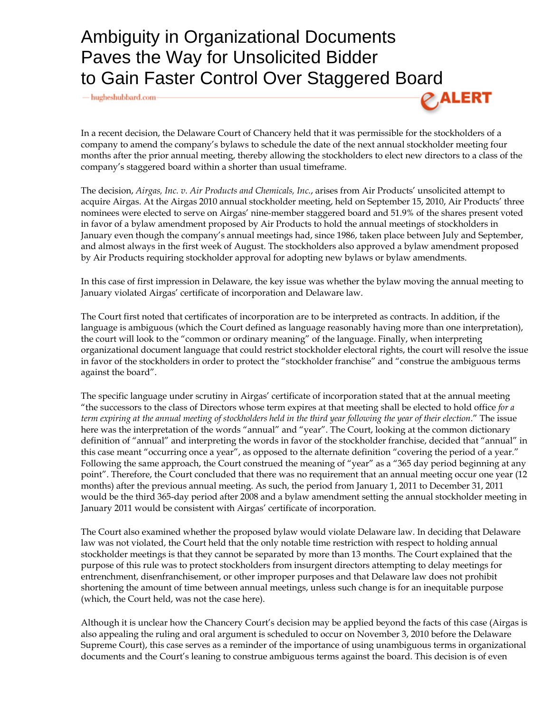## Ambiguity in Organizational Documents Paves the Way for Unsolicited Bidder to Gain Faster Control Over Staggered Board

 $-\mu$  hugheshubbard.com



In a recent decision, the Delaware Court of Chancery held that it was permissible for the stockholders of a company to amend the company's bylaws to schedule the date of the next annual stockholder meeting four months after the prior annual meeting, thereby allowing the stockholders to elect new directors to a class of the company's staggered board within a shorter than usual timeframe.

The decision, *Airgas, Inc. v. Air Products and Chemicals, Inc.*, arises from Air Products' unsolicited attempt to acquire Airgas. At the Airgas 2010 annual stockholder meeting, held on September 15, 2010, Air Products' three nominees were elected to serve on Airgas' nine-member staggered board and 51.9% of the shares present voted in favor of a bylaw amendment proposed by Air Products to hold the annual meetings of stockholders in January even though the company's annual meetings had, since 1986, taken place between July and September, and almost always in the first week of August. The stockholders also approved a bylaw amendment proposed by Air Products requiring stockholder approval for adopting new bylaws or bylaw amendments.

In this case of first impression in Delaware, the key issue was whether the bylaw moving the annual meeting to January violated Airgas' certificate of incorporation and Delaware law.

The Court first noted that certificates of incorporation are to be interpreted as contracts. In addition, if the language is ambiguous (which the Court defined as language reasonably having more than one interpretation), the court will look to the "common or ordinary meaning" of the language. Finally, when interpreting organizational document language that could restrict stockholder electoral rights, the court will resolve the issue in favor of the stockholders in order to protect the "stockholder franchise" and "construe the ambiguous terms against the board".

The specific language under scrutiny in Airgas' certificate of incorporation stated that at the annual meeting "the successors to the class of Directors whose term expires at that meeting shall be elected to hold office *for a term expiring at the annual meeting of stockholders held in the third year following the year of their election*." The issue here was the interpretation of the words "annual" and "year". The Court, looking at the common dictionary definition of "annual" and interpreting the words in favor of the stockholder franchise, decided that "annual" in this case meant "occurring once a year", as opposed to the alternate definition "covering the period of a year." Following the same approach, the Court construed the meaning of "year" as a "365 day period beginning at any point". Therefore, the Court concluded that there was no requirement that an annual meeting occur one year (12 months) after the previous annual meeting. As such, the period from January 1, 2011 to December 31, 2011 would be the third 365-day period after 2008 and a bylaw amendment setting the annual stockholder meeting in January 2011 would be consistent with Airgas' certificate of incorporation.

The Court also examined whether the proposed bylaw would violate Delaware law. In deciding that Delaware law was not violated, the Court held that the only notable time restriction with respect to holding annual stockholder meetings is that they cannot be separated by more than 13 months. The Court explained that the purpose of this rule was to protect stockholders from insurgent directors attempting to delay meetings for entrenchment, disenfranchisement, or other improper purposes and that Delaware law does not prohibit shortening the amount of time between annual meetings, unless such change is for an inequitable purpose (which, the Court held, was not the case here).

Although it is unclear how the Chancery Court's decision may be applied beyond the facts of this case (Airgas is also appealing the ruling and oral argument is scheduled to occur on November 3, 2010 before the Delaware Supreme Court), this case serves as a reminder of the importance of using unambiguous terms in organizational documents and the Court's leaning to construe ambiguous terms against the board. This decision is of even